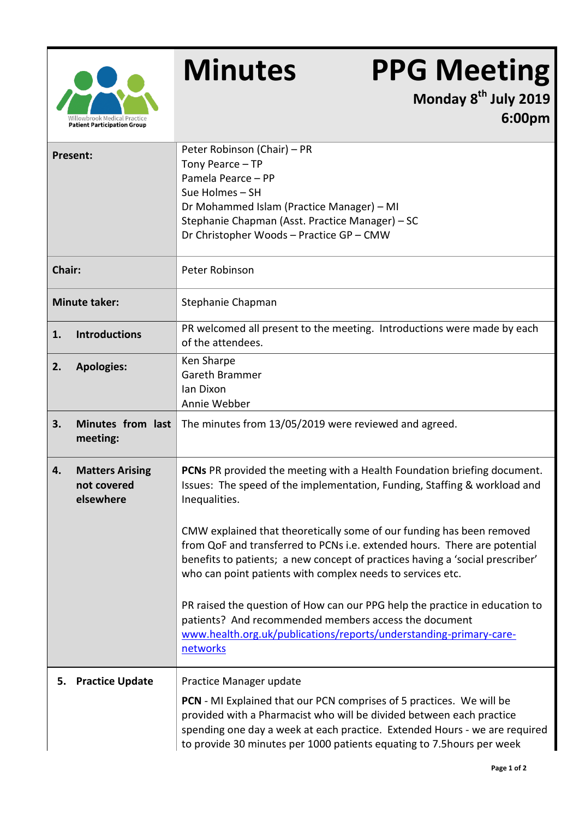

## **Minutes PPG Meeting**

**Monday 8 th July 2019 6:00pm**

| Present:             |                                                    | Peter Robinson (Chair) - PR<br>Tony Pearce - TP<br>Pamela Pearce - PP<br>Sue Holmes - SH<br>Dr Mohammed Islam (Practice Manager) - MI<br>Stephanie Chapman (Asst. Practice Manager) - SC<br>Dr Christopher Woods - Practice GP - CMW                                                                                                                                                                                                                                                                                                                                                                                                                                                                  |  |
|----------------------|----------------------------------------------------|-------------------------------------------------------------------------------------------------------------------------------------------------------------------------------------------------------------------------------------------------------------------------------------------------------------------------------------------------------------------------------------------------------------------------------------------------------------------------------------------------------------------------------------------------------------------------------------------------------------------------------------------------------------------------------------------------------|--|
| Chair:               |                                                    | Peter Robinson                                                                                                                                                                                                                                                                                                                                                                                                                                                                                                                                                                                                                                                                                        |  |
| <b>Minute taker:</b> |                                                    | Stephanie Chapman                                                                                                                                                                                                                                                                                                                                                                                                                                                                                                                                                                                                                                                                                     |  |
| 1.                   | <b>Introductions</b>                               | PR welcomed all present to the meeting. Introductions were made by each<br>of the attendees.                                                                                                                                                                                                                                                                                                                                                                                                                                                                                                                                                                                                          |  |
| 2.                   | <b>Apologies:</b>                                  | Ken Sharpe<br>Gareth Brammer<br>lan Dixon<br>Annie Webber                                                                                                                                                                                                                                                                                                                                                                                                                                                                                                                                                                                                                                             |  |
| 3.                   | Minutes from last<br>meeting:                      | The minutes from 13/05/2019 were reviewed and agreed.                                                                                                                                                                                                                                                                                                                                                                                                                                                                                                                                                                                                                                                 |  |
| 4.                   | <b>Matters Arising</b><br>not covered<br>elsewhere | PCNs PR provided the meeting with a Health Foundation briefing document.<br>Issues: The speed of the implementation, Funding, Staffing & workload and<br>Inequalities.<br>CMW explained that theoretically some of our funding has been removed<br>from QoF and transferred to PCNs i.e. extended hours. There are potential<br>benefits to patients; a new concept of practices having a 'social prescriber'<br>who can point patients with complex needs to services etc.<br>PR raised the question of How can our PPG help the practice in education to<br>patients? And recommended members access the document<br>www.health.org.uk/publications/reports/understanding-primary-care-<br>networks |  |
| 5.                   | <b>Practice Update</b>                             | Practice Manager update<br><b>PCN</b> - MI Explained that our PCN comprises of 5 practices. We will be<br>provided with a Pharmacist who will be divided between each practice<br>spending one day a week at each practice. Extended Hours - we are required<br>to provide 30 minutes per 1000 patients equating to 7.5 hours per week                                                                                                                                                                                                                                                                                                                                                                |  |